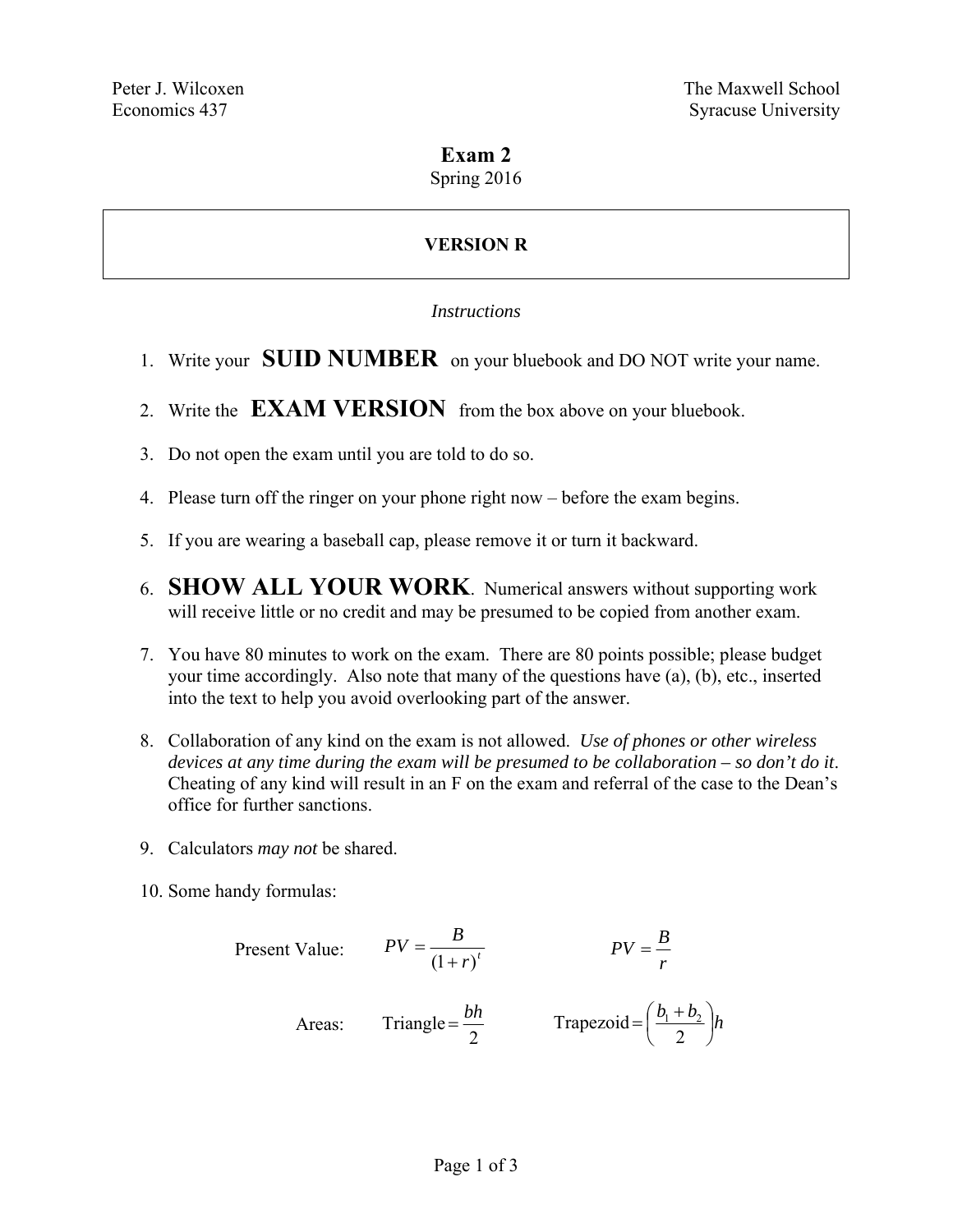# **Exam 2**

Spring 2016

# **VERSION R**

## *Instructions*

- 1. Write your **SUID NUMBER** on your bluebook and DO NOT write your name.
- 2. Write the **EXAM VERSION** from the box above on your bluebook.
- 3. Do not open the exam until you are told to do so.
- 4. Please turn off the ringer on your phone right now before the exam begins.
- 5. If you are wearing a baseball cap, please remove it or turn it backward.
- 6. **SHOW ALL YOUR WORK**. Numerical answers without supporting work will receive little or no credit and may be presumed to be copied from another exam.
- 7. You have 80 minutes to work on the exam. There are 80 points possible; please budget your time accordingly. Also note that many of the questions have (a), (b), etc., inserted into the text to help you avoid overlooking part of the answer.
- 8. Collaboration of any kind on the exam is not allowed. *Use of phones or other wireless devices at any time during the exam will be presumed to be collaboration – so don't do it*. Cheating of any kind will result in an F on the exam and referral of the case to the Dean's office for further sanctions.
- 9. Calculators *may not* be shared.
- 10. Some handy formulas:

Present Value: 
$$
PV = \frac{B}{(1+r)^t}
$$
  $PV = \frac{B}{r}$   
Areas: Triangle =  $\frac{bh}{2}$  Trapezoid =  $(\frac{b_1 + b_2}{2})h$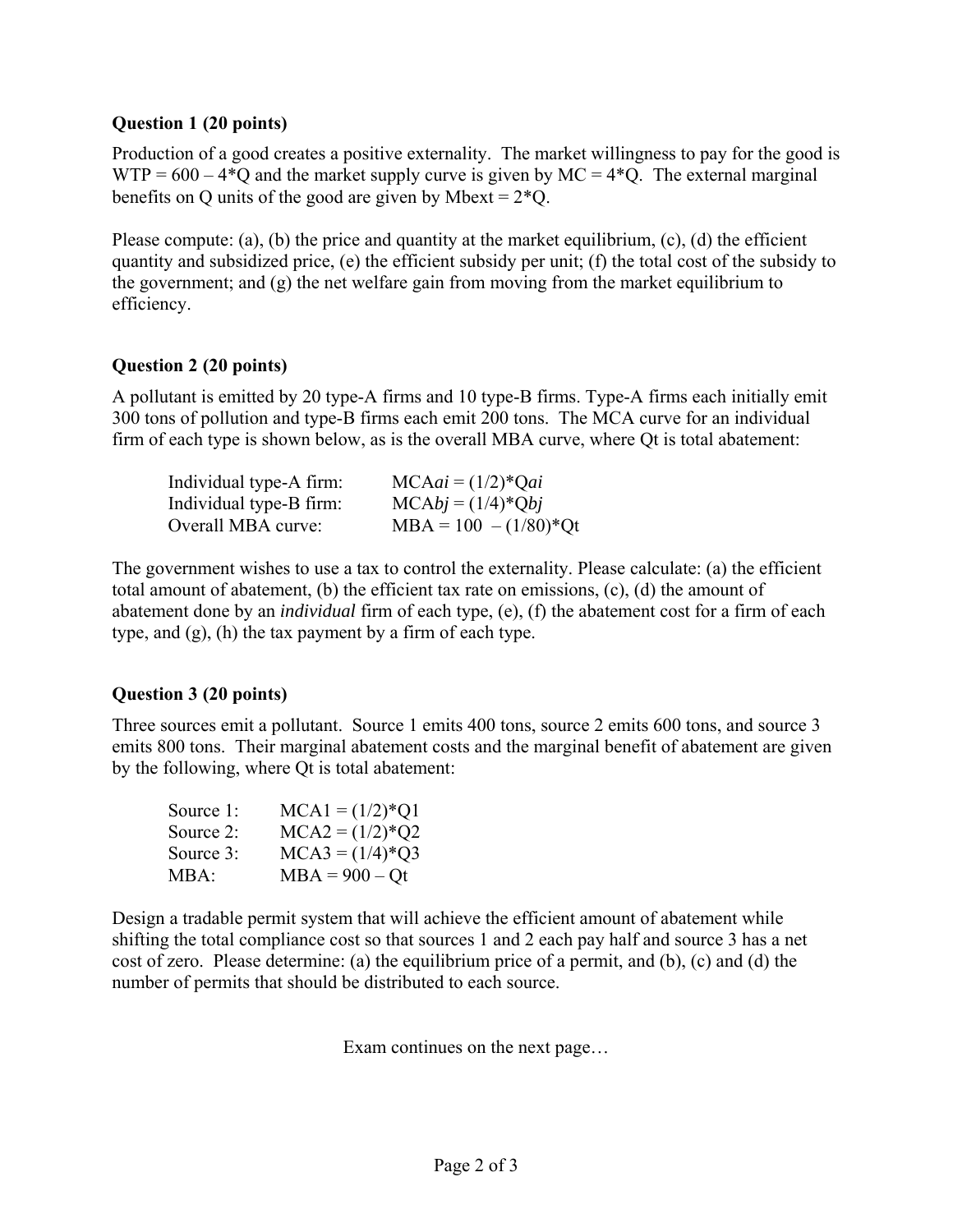#### **Question 1 (20 points)**

Production of a good creates a positive externality. The market willingness to pay for the good is  $WTP = 600 - 4*Q$  and the market supply curve is given by MC = 4 $Q$ . The external marginal benefits on Q units of the good are given by Mbext =  $2*Q$ .

Please compute: (a), (b) the price and quantity at the market equilibrium, (c), (d) the efficient quantity and subsidized price, (e) the efficient subsidy per unit; (f) the total cost of the subsidy to the government; and (g) the net welfare gain from moving from the market equilibrium to efficiency.

## **Question 2 (20 points)**

A pollutant is emitted by 20 type-A firms and 10 type-B firms. Type-A firms each initially emit 300 tons of pollution and type-B firms each emit 200 tons. The MCA curve for an individual firm of each type is shown below, as is the overall MBA curve, where Qt is total abatement:

| Individual type-A firm: | $MCAai = (1/2)*Qai$       |
|-------------------------|---------------------------|
| Individual type-B firm: | $MCAbj = (1/4)*Qbj$       |
| Overall MBA curve:      | $MBA = 100 - (1/80)^*$ Qt |

The government wishes to use a tax to control the externality. Please calculate: (a) the efficient total amount of abatement, (b) the efficient tax rate on emissions, (c), (d) the amount of abatement done by an *individual* firm of each type, (e), (f) the abatement cost for a firm of each type, and (g), (h) the tax payment by a firm of each type.

## **Question 3 (20 points)**

Three sources emit a pollutant. Source 1 emits 400 tons, source 2 emits 600 tons, and source 3 emits 800 tons. Their marginal abatement costs and the marginal benefit of abatement are given by the following, where Qt is total abatement:

| Source 1: | $MCA1 = (1/2)*Q1$ |
|-----------|-------------------|
| Source 2: | $MCA2 = (1/2)*Q2$ |
| Source 3: | $MCA3 = (1/4)*Q3$ |
| MBA:      | $MBA = 900 - Qt$  |

Design a tradable permit system that will achieve the efficient amount of abatement while shifting the total compliance cost so that sources 1 and 2 each pay half and source 3 has a net cost of zero. Please determine: (a) the equilibrium price of a permit, and (b), (c) and (d) the number of permits that should be distributed to each source.

Exam continues on the next page…